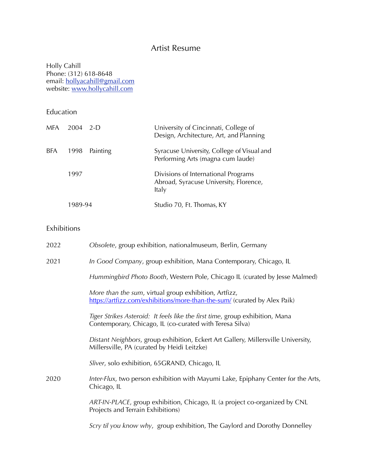# Artist Resume

Holly Cahill Phone: (312) 618-8648 email: <u>hollyacahill@gmail.com</u> website: <u>www.hollycahill.com</u>

Education

| <b>MFA</b> | 2004    | $2-D$    | University of Cincinnati, College of<br>Design, Architecture, Art, and Planning        |
|------------|---------|----------|----------------------------------------------------------------------------------------|
| <b>BFA</b> | 1998    | Painting | Syracuse University, College of Visual and<br>Performing Arts (magna cum laude)        |
|            | 1997    |          | Divisions of International Programs<br>Abroad, Syracuse University, Florence,<br>Italy |
|            | 1989-94 |          | Studio 70, Ft. Thomas, KY                                                              |

#### Exhibitions

| 2022 | Obsolete, group exhibition, nationalmuseum, Berlin, Germany                                                                              |
|------|------------------------------------------------------------------------------------------------------------------------------------------|
| 2021 | In Good Company, group exhibition, Mana Contemporary, Chicago, IL                                                                        |
|      | Hummingbird Photo Booth, Western Pole, Chicago IL (curated by Jesse Malmed)                                                              |
|      | More than the sum, virtual group exhibition, Artfizz,<br>https://artfizz.com/exhibitions/more-than-the-sum/ (curated by Alex Paik)       |
|      | Tiger Strikes Asteroid: It feels like the first time, group exhibition, Mana<br>Contemporary, Chicago, IL (co-curated with Teresa Silva) |
|      | Distant Neighbors, group exhibition, Eckert Art Gallery, Millersville University,<br>Millersville, PA (curated by Heidi Leitzke)         |
|      | Sliver, solo exhibition, 65GRAND, Chicago, IL                                                                                            |
| 2020 | Inter-Flux, two person exhibition with Mayumi Lake, Epiphany Center for the Arts,<br>Chicago, IL                                         |
|      | ART-IN-PLACE, group exhibition, Chicago, IL (a project co-organized by CNL<br>Projects and Terrain Exhibitions)                          |
|      | Scry til you know why, group exhibition, The Gaylord and Dorothy Donnelley                                                               |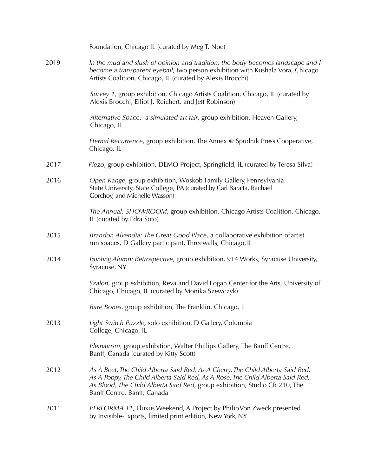|      | Foundation, Chicago IL (curated by Meg T. Noe)                                                                                                                                                                                                                                 |
|------|--------------------------------------------------------------------------------------------------------------------------------------------------------------------------------------------------------------------------------------------------------------------------------|
| 2019 | In the mud and slush of opinion and tradition, the body becomes landscape and I<br>become a transparent eyeball, two person exhibition with Kushala Vora, Chicago<br>Artists Coalition, Chicago, IL (curated by Alexis Brocchi)                                                |
|      | Survey 1, group exhibition, Chicago Artists Coalition, Chicago, IL (curated by<br>Alexis Brocchi, Elliot J. Reichert, and Jeff Robinson)                                                                                                                                       |
|      | Alternative Space: a simulated art fair, group exhibition, Heaven Gallery,<br>Chicago, IL                                                                                                                                                                                      |
|      | Eternal Recurrence, group exhibition, The Annex @ Spudnik Press Cooperative,<br>Chicago, IL                                                                                                                                                                                    |
| 2017 | Piezo, group exhibition, DEMO Project, Springfield, IL (curated by Teresa Silva)                                                                                                                                                                                               |
| 2016 | Open Range, group exhibition, Woskob Family Gallery, Pennsylvania<br>State University, State College, PA (curated by Carl Baratta, Rachael<br>Gorchov, and Michelle Wasson)                                                                                                    |
|      | The Annual: SHOWROOM, group exhibition, Chicago Artists Coalition, Chicago,<br>IL (curated by Edra Soto)                                                                                                                                                                       |
| 2015 | Brandon Alvendia: The Great Good Place, a collaborative exhibition of artist<br>run spaces, D Gallery participant, Threewalls, Chicago, IL                                                                                                                                     |
| 2014 | Painting Alumni Retrospective, group exhibition, 914 Works, Syracuse University,<br>Syracuse, NY                                                                                                                                                                               |
|      | Szalon, group exhibition, Reva and David Logan Center for the Arts, University of<br>Chicago, Chicago, IL (curated by Monika Szewczyk)                                                                                                                                         |
|      | Bare Bones, group exhibition, The Franklin, Chicago, IL                                                                                                                                                                                                                        |
| 2013 | Light Switch Puzzle, solo exhibition, D Gallery, Columbia<br>College, Chicago, IL                                                                                                                                                                                              |
|      | Pleinairism, group exhibition, Walter Phillips Gallery, The Banff Centre,<br>Banff, Canada (curated by Kitty Scott)                                                                                                                                                            |
| 2012 | As A Beet, The Child Alberta Said Red, As A Cherry, The Child Alberta Said Red,<br>As A Poppy, The Child Alberta Said Red, As A Rose, The Child Alberta Said Red,<br>As Blood, The Child Alberta Said Red, group exhibition, Studio CR 210, The<br>Banff Centre, Banff, Canada |
| 2011 | PERFORMA 11, Fluxus Weekend, A Project by Philip Von Zweck presented<br>by Invisible-Exports, limited print edition, New York, NY                                                                                                                                              |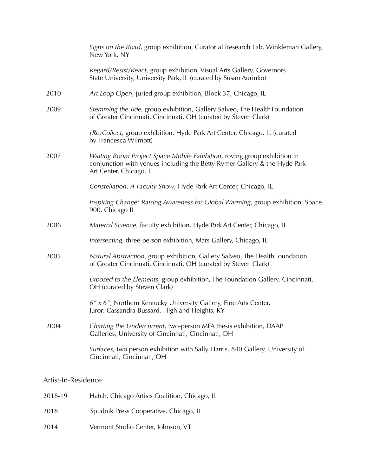|      | Signs on the Road, group exhibition, Curatorial Research Lab, Winkleman Gallery,<br>New York, NY                                                                                 |
|------|----------------------------------------------------------------------------------------------------------------------------------------------------------------------------------|
|      | Regard/Resist/React, group exhibition, Visual Arts Gallery, Governors<br>State University, University Park, IL (curated by Susan Aurinko)                                        |
| 2010 | Art Loop Open, juried group exhibition, Block 37, Chicago, IL                                                                                                                    |
| 2009 | Stemming the Tide, group exhibition, Gallery Salveo, The Health Foundation<br>of Greater Cincinnati, Cincinnati, OH (curated by Steven Clark)                                    |
|      | (Re)Collect, group exhibition, Hyde Park Art Center, Chicago, IL (curated<br>by Francesca Wilmott)                                                                               |
| 2007 | Waiting Room Project Space Mobile Exhibition, roving group exhibition in<br>conjunction with venues including the Betty Rymer Gallery & the Hyde Park<br>Art Center, Chicago, IL |
|      | Constellation: A Faculty Show, Hyde Park Art Center, Chicago, IL                                                                                                                 |
|      | Inspiring Change: Raising Awareness for Global Warming, group exhibition, Space<br>900, Chicago IL                                                                               |
| 2006 | Material Science, faculty exhibition, Hyde Park Art Center, Chicago, IL                                                                                                          |
|      | Intersecting, three-person exhibition, Mars Gallery, Chicago, IL                                                                                                                 |
| 2005 | Natural Abstraction, group exhibition, Gallery Salveo, The Health Foundation<br>of Greater Cincinnati, Cincinnati, OH (curated by Steven Clark)                                  |
|      | Exposed to the Elements, group exhibition, The Foundation Gallery, Cincinnati,<br>OH (curated by Steven Clark)                                                                   |
|      | 6" x 6", Northern Kentucky University Gallery, Fine Arts Center,<br>Juror: Cassandra Bussard, Highland Heights, KY                                                               |
| 2004 | Charting the Undercurrent, two-person MFA thesis exhibition, DAAP<br>Galleries, University of Cincinnati, Cincinnati, OH                                                         |
|      | Surfaces, two person exhibition with Sally Harris, 840 Gallery, University of<br>Cincinnati, Cincinnati, OH                                                                      |
|      |                                                                                                                                                                                  |

## Artist-In-Residence

| 2018-19 | Hatch, Chicago Artists Coalition, Chicago, IL |
|---------|-----------------------------------------------|
| 2018    | Spudnik Press Cooperative, Chicago, IL        |
| 2014    | Vermont Studio Center, Johnson, VT            |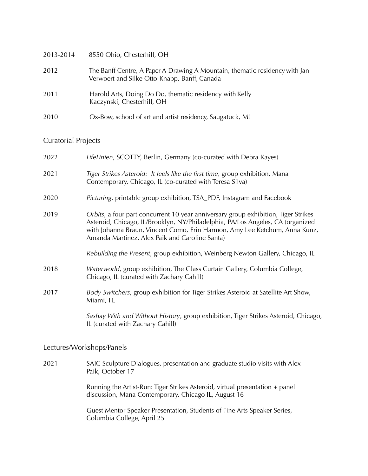| 2013-2014 | 8550 Ohio, Chesterhill, OH                                                                                                  |
|-----------|-----------------------------------------------------------------------------------------------------------------------------|
| 2012      | The Banff Centre, A Paper A Drawing A Mountain, thematic residency with Jan<br>Verwoert and Silke Otto-Knapp, Banff, Canada |
| 2011      | Harold Arts, Doing Do Do, thematic residency with Kelly<br>Kaczynski, Chesterhill, OH                                       |
| 2010      | Ox-Bow, school of art and artist residency, Saugatuck, MI                                                                   |

## Curatorial Projects

| 2022 | LifeLinien, SCOTTY, Berlin, Germany (co-curated with Debra Kayes)                                                                                                                                                                                                                                    |
|------|------------------------------------------------------------------------------------------------------------------------------------------------------------------------------------------------------------------------------------------------------------------------------------------------------|
| 2021 | Tiger Strikes Asteroid: It feels like the first time, group exhibition, Mana<br>Contemporary, Chicago, IL (co-curated with Teresa Silva)                                                                                                                                                             |
| 2020 | Picturing, printable group exhibition, TSA_PDF, Instagram and Facebook                                                                                                                                                                                                                               |
| 2019 | Orbits, a four part concurrent 10 year anniversary group exhibition, Tiger Strikes<br>Asteroid, Chicago, IL/Brooklyn, NY/Philadelphia, PA/Los Angeles, CA (organized<br>with Johanna Braun, Vincent Como, Erin Harmon, Amy Lee Ketchum, Anna Kunz,<br>Amanda Martinez, Alex Paik and Caroline Santa) |
|      | Rebuilding the Present, group exhibition, Weinberg Newton Gallery, Chicago, IL                                                                                                                                                                                                                       |
| 2018 | Waterworld, group exhibition, The Glass Curtain Gallery, Columbia College,<br>Chicago, IL (curated with Zachary Cahill)                                                                                                                                                                              |
| 2017 | Body Switchers, group exhibition for Tiger Strikes Asteroid at Satellite Art Show,<br>Miami, FL                                                                                                                                                                                                      |
|      | Sashay With and Without History, group exhibition, Tiger Strikes Asteroid, Chicago,<br>IL (curated with Zachary Cahill)                                                                                                                                                                              |

#### Lectures/Workshops/Panels

2021 SAIC Sculpture Dialogues, presentation and graduate studio visits with Alex Paik, October 17

> Running the Artist-Run: Tiger Strikes Asteroid, virtual presentation + panel discussion, Mana Contemporary, Chicago IL, August 16

 Guest Mentor Speaker Presentation, Students of Fine Arts Speaker Series, Columbia College, April 25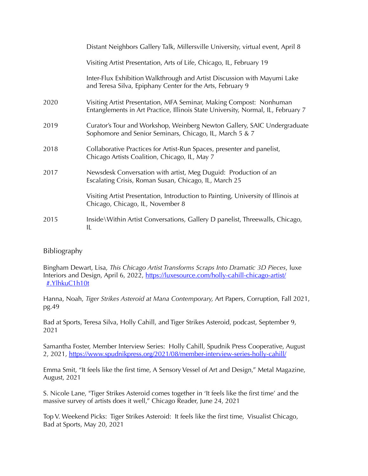|      | Distant Neighbors Gallery Talk, Millersville University, virtual event, April 8                                                                         |
|------|---------------------------------------------------------------------------------------------------------------------------------------------------------|
|      | Visiting Artist Presentation, Arts of Life, Chicago, IL, February 19                                                                                    |
|      | Inter-Flux Exhibition Walkthrough and Artist Discussion with Mayumi Lake<br>and Teresa Silva, Epiphany Center for the Arts, February 9                  |
| 2020 | Visiting Artist Presentation, MFA Seminar, Making Compost: Nonhuman<br>Entanglements in Art Practice, Illinois State University, Normal, IL, February 7 |
| 2019 | Curator's Tour and Workshop, Weinberg Newton Gallery, SAIC Undergraduate<br>Sophomore and Senior Seminars, Chicago, IL, March 5 & 7                     |
| 2018 | Collaborative Practices for Artist-Run Spaces, presenter and panelist,<br>Chicago Artists Coalition, Chicago, IL, May 7                                 |
| 2017 | Newsdesk Conversation with artist, Meg Duguid: Production of an<br>Escalating Crisis, Roman Susan, Chicago, IL, March 25                                |
|      | Visiting Artist Presentation, Introduction to Painting, University of Illinois at<br>Chicago, Chicago, IL, November 8                                   |
| 2015 | Inside\Within Artist Conversations, Gallery D panelist, Threewalls, Chicago,<br>IL                                                                      |

### Bibliography

Bingham Dewart, Lisa, *This Chicago Artist Transforms Scraps Into Dramatic 3D Pieces*, luxe Interiors and Design, April 6, 2022, [https://luxesource.com/holly-cahill-chicago-artist/](https://luxesource.com/holly-cahill-chicago-artist/#.YlhkuC1h10t) [#.YlhkuC1h10t](https://luxesource.com/holly-cahill-chicago-artist/#.YlhkuC1h10t)

Hanna, Noah, *Tiger Strikes Asteroid at Mana Contemporary,* Art Papers, Corruption, Fall 2021, pg.49

Bad at Sports, Teresa Silva, Holly Cahill, and Tiger Strikes Asteroid, podcast, September 9, 2021

Samantha Foster, Member Interview Series: Holly Cahill, Spudnik Press Cooperative, August 2, 2021, <https://www.spudnikpress.org/2021/08/member-interview-series-holly-cahill/>

Emma Smit, "It feels like the first time, A Sensory Vessel of Art and Design," Metal Magazine, August, 2021

S. Nicole Lane, "Tiger Strikes Asteroid comes together in 'It feels like the first time' and the massive survey of artists does it well," Chicago Reader, June 24, 2021

Top V. Weekend Picks: Tiger Strikes Asteroid: It feels like the first time, Visualist Chicago, Bad at Sports, May 20, 2021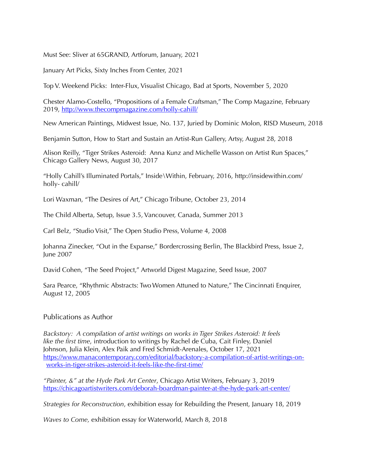Must See: Sliver at 65GRAND, Artforum, January, 2021

January Art Picks, Sixty Inches From Center, 2021

Top V. Weekend Picks: Inter-Flux, Visualist Chicago, Bad at Sports, November 5, 2020

Chester Alamo-Costello, "Propositions of a Female Craftsman," The Comp Magazine, February 2019, <http://www.thecompmagazine.com/holly-cahill/>

New American Paintings, Midwest Issue, No. 137, Juried by Dominic Molon, RISD Museum, 2018

Benjamin Sutton, How to Start and Sustain an Artist-Run Gallery, Artsy, August 28, 2018

Alison Reilly, "Tiger Strikes Asteroid: Anna Kunz and Michelle Wasson on Artist Run Spaces," Chicago Gallery News, August 30, 2017

"Holly Cahill's Illuminated Portals," Inside\Within, Februar[y, 2016, http://insidewithin.com/](http://insidewithin.com/holly-) [holly-](http://insidewithin.com/holly-) cahill/

Lori Waxman, "The Desires of Art," Chicago Tribune, October 23, 2014

The Child Alberta, Setup, Issue 3.5, Vancouver, Canada, Summer 2013

Carl Belz, "Studio Visit," The Open Studio Press, Volume 4, 2008

Johanna Zinecker, "Out in the Expanse," Bordercrossing Berlin, The Blackbird Press, Issue 2, June 2007

David Cohen, "The Seed Project," Artworld Digest Magazine, Seed Issue, 2007

Sara Pearce, "Rhythmic Abstracts: Two Women Attuned to Nature," The Cincinnati Enquirer, August 12, 2005

#### Publications as Author

*Backstory: A compilation of artist writings on works in Tiger Strikes Asteroid: It feels like the first time*, introduction to writings by Rachel de Cuba, Cait Finley, Daniel Johnson, Julia Klein, Alex Paik and Fred Schmidt-Arenales, October 17, 2021 [https://www.manacontemporary.com/editorial/backstory-a-compilation-of-artist-writings-on](https://www.manacontemporary.com/editorial/backstory-a-compilation-of-artist-writings-on-works-in-tiger-strikes-asteroid-it-feels-like-the-first-time/)[works-in-tiger-strikes-asteroid-it-feels-like-the-first-time/](https://www.manacontemporary.com/editorial/backstory-a-compilation-of-artist-writings-on-works-in-tiger-strikes-asteroid-it-feels-like-the-first-time/)

*"Painter, &" at the Hyde Park Art Center*, Chicago Artist Writers, February 3, 2019 <https://chicagoartistwriters.com/deborah-boardman-painter-at-the-hyde-park-art-center/>

*Strategies for Reconstruction*, exhibition essay for Rebuilding the Present, January 18, 2019

*Waves to Come,* exhibition essay for Waterworld, March 8, 2018